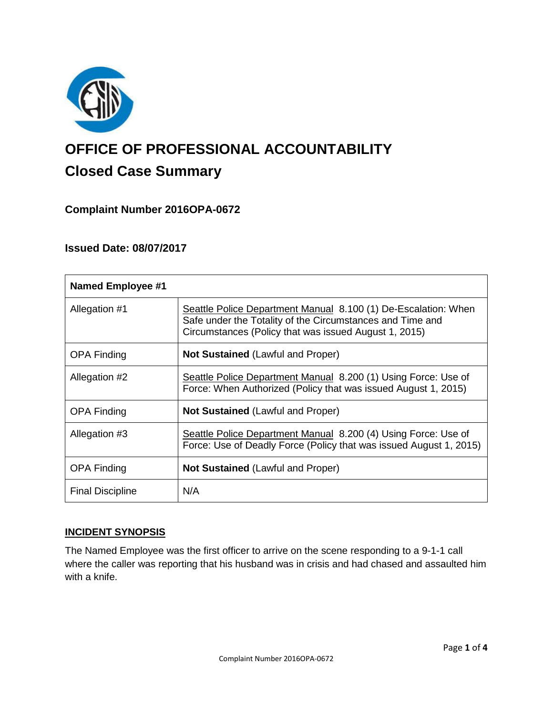

# **OFFICE OF PROFESSIONAL ACCOUNTABILITY Closed Case Summary**

## **Complaint Number 2016OPA-0672**

## **Issued Date: 08/07/2017**

| <b>Named Employee #1</b> |                                                                                                                                                                                      |
|--------------------------|--------------------------------------------------------------------------------------------------------------------------------------------------------------------------------------|
| Allegation #1            | Seattle Police Department Manual 8.100 (1) De-Escalation: When<br>Safe under the Totality of the Circumstances and Time and<br>Circumstances (Policy that was issued August 1, 2015) |
| <b>OPA Finding</b>       | <b>Not Sustained (Lawful and Proper)</b>                                                                                                                                             |
| Allegation #2            | Seattle Police Department Manual 8.200 (1) Using Force: Use of<br>Force: When Authorized (Policy that was issued August 1, 2015)                                                     |
| <b>OPA Finding</b>       | <b>Not Sustained (Lawful and Proper)</b>                                                                                                                                             |
| Allegation #3            | Seattle Police Department Manual 8.200 (4) Using Force: Use of<br>Force: Use of Deadly Force (Policy that was issued August 1, 2015)                                                 |
| <b>OPA Finding</b>       | <b>Not Sustained (Lawful and Proper)</b>                                                                                                                                             |
| <b>Final Discipline</b>  | N/A                                                                                                                                                                                  |

#### **INCIDENT SYNOPSIS**

The Named Employee was the first officer to arrive on the scene responding to a 9-1-1 call where the caller was reporting that his husband was in crisis and had chased and assaulted him with a knife.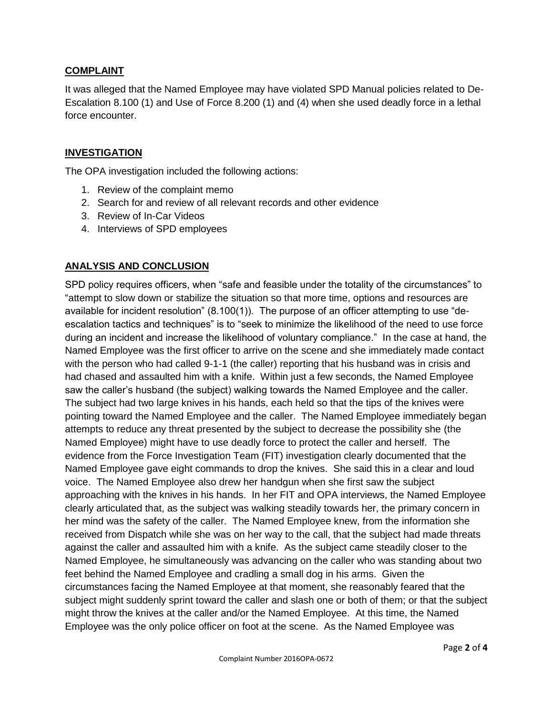#### **COMPLAINT**

It was alleged that the Named Employee may have violated SPD Manual policies related to De-Escalation 8.100 (1) and Use of Force 8.200 (1) and (4) when she used deadly force in a lethal force encounter.

## **INVESTIGATION**

The OPA investigation included the following actions:

- 1. Review of the complaint memo
- 2. Search for and review of all relevant records and other evidence
- 3. Review of In-Car Videos
- 4. Interviews of SPD employees

## **ANALYSIS AND CONCLUSION**

SPD policy requires officers, when "safe and feasible under the totality of the circumstances" to "attempt to slow down or stabilize the situation so that more time, options and resources are available for incident resolution" (8.100(1)). The purpose of an officer attempting to use "deescalation tactics and techniques" is to "seek to minimize the likelihood of the need to use force during an incident and increase the likelihood of voluntary compliance." In the case at hand, the Named Employee was the first officer to arrive on the scene and she immediately made contact with the person who had called 9-1-1 (the caller) reporting that his husband was in crisis and had chased and assaulted him with a knife. Within just a few seconds, the Named Employee saw the caller's husband (the subject) walking towards the Named Employee and the caller. The subject had two large knives in his hands, each held so that the tips of the knives were pointing toward the Named Employee and the caller. The Named Employee immediately began attempts to reduce any threat presented by the subject to decrease the possibility she (the Named Employee) might have to use deadly force to protect the caller and herself. The evidence from the Force Investigation Team (FIT) investigation clearly documented that the Named Employee gave eight commands to drop the knives. She said this in a clear and loud voice. The Named Employee also drew her handgun when she first saw the subject approaching with the knives in his hands. In her FIT and OPA interviews, the Named Employee clearly articulated that, as the subject was walking steadily towards her, the primary concern in her mind was the safety of the caller. The Named Employee knew, from the information she received from Dispatch while she was on her way to the call, that the subject had made threats against the caller and assaulted him with a knife. As the subject came steadily closer to the Named Employee, he simultaneously was advancing on the caller who was standing about two feet behind the Named Employee and cradling a small dog in his arms. Given the circumstances facing the Named Employee at that moment, she reasonably feared that the subject might suddenly sprint toward the caller and slash one or both of them; or that the subject might throw the knives at the caller and/or the Named Employee. At this time, the Named Employee was the only police officer on foot at the scene. As the Named Employee was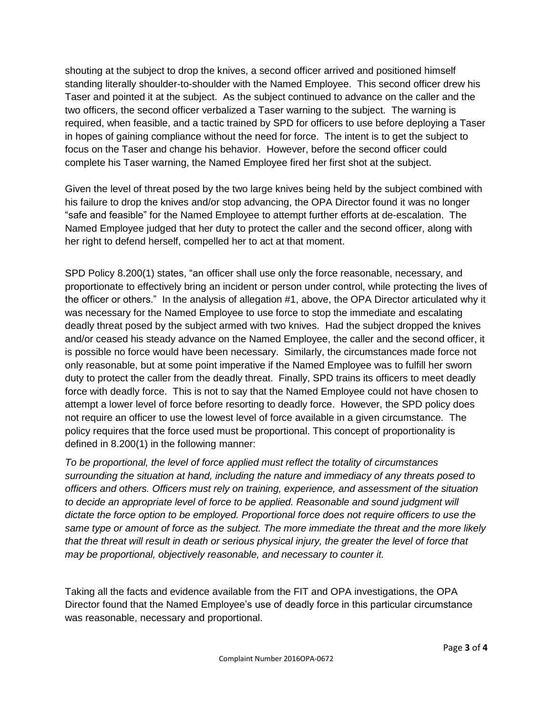shouting at the subject to drop the knives, a second officer arrived and positioned himself standing literally shoulder-to-shoulder with the Named Employee. This second officer drew his Taser and pointed it at the subject. As the subject continued to advance on the caller and the two officers, the second officer verbalized a Taser warning to the subject. The warning is required, when feasible, and a tactic trained by SPD for officers to use before deploying a Taser in hopes of gaining compliance without the need for force. The intent is to get the subject to focus on the Taser and change his behavior. However, before the second officer could complete his Taser warning, the Named Employee fired her first shot at the subject.

Given the level of threat posed by the two large knives being held by the subject combined with his failure to drop the knives and/or stop advancing, the OPA Director found it was no longer "safe and feasible" for the Named Employee to attempt further efforts at de-escalation. The Named Employee judged that her duty to protect the caller and the second officer, along with her right to defend herself, compelled her to act at that moment.

SPD Policy 8.200(1) states, "an officer shall use only the force reasonable, necessary, and proportionate to effectively bring an incident or person under control, while protecting the lives of the officer or others." In the analysis of allegation #1, above, the OPA Director articulated why it was necessary for the Named Employee to use force to stop the immediate and escalating deadly threat posed by the subject armed with two knives. Had the subject dropped the knives and/or ceased his steady advance on the Named Employee, the caller and the second officer, it is possible no force would have been necessary. Similarly, the circumstances made force not only reasonable, but at some point imperative if the Named Employee was to fulfill her sworn duty to protect the caller from the deadly threat. Finally, SPD trains its officers to meet deadly force with deadly force. This is not to say that the Named Employee could not have chosen to attempt a lower level of force before resorting to deadly force. However, the SPD policy does not require an officer to use the lowest level of force available in a given circumstance. The policy requires that the force used must be proportional. This concept of proportionality is defined in 8.200(1) in the following manner:

*To be proportional, the level of force applied must reflect the totality of circumstances surrounding the situation at hand, including the nature and immediacy of any threats posed to officers and others. Officers must rely on training, experience, and assessment of the situation to decide an appropriate level of force to be applied. Reasonable and sound judgment will dictate the force option to be employed. Proportional force does not require officers to use the same type or amount of force as the subject. The more immediate the threat and the more likely that the threat will result in death or serious physical injury, the greater the level of force that may be proportional, objectively reasonable, and necessary to counter it.*

Taking all the facts and evidence available from the FIT and OPA investigations, the OPA Director found that the Named Employee's use of deadly force in this particular circumstance was reasonable, necessary and proportional.